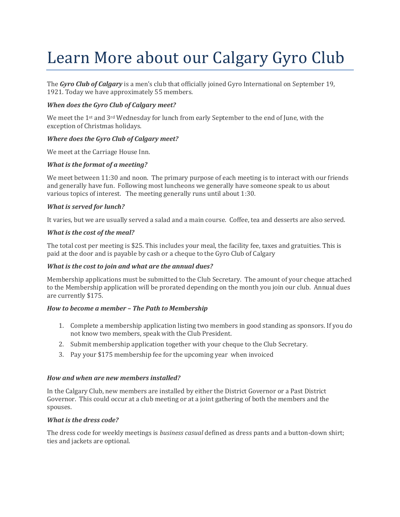# Learn More about our Calgary Gyro Club

The *Gyro Club of Calgary* is a men's club that officially joined Gyro International on September 19, 1921. Today we have approximately 55 members.

## *When does the Gyro Club of Calgary meet?*

We meet the 1<sup>st</sup> and 3<sup>rd</sup> Wednesday for lunch from early September to the end of June, with the exception of Christmas holidays.

# *Where does the Gyro Club of Calgary meet?*

We meet at the Carriage House Inn.

# *What is the format of a meeting?*

We meet between 11:30 and noon. The primary purpose of each meeting is to interact with our friends and generally have fun. Following most luncheons we generally have someone speak to us about various topics of interest. The meeting generally runs until about 1:30.

# *What is served for lunch?*

It varies, but we are usually served a salad and a main course. Coffee, tea and desserts are also served.

# *What is the cost of the meal?*

The total cost per meeting is \$25. This includes your meal, the facility fee, taxes and gratuities. This is paid at the door and is payable by cash or a cheque to the Gyro Club of Calgary

## *What is the cost to join and what are the annual dues?*

Membership applications must be submitted to the Club Secretary. The amount of your cheque attached to the Membership application will be prorated depending on the month you join our club. Annual dues are currently \$175.

## *How to become a member – The Path to Membership*

- 1. Complete a membership application listing two members in good standing as sponsors. If you do not know two members, speak with the Club President.
- 2. Submit membership application together with your cheque to the Club Secretary.
- 3. Pay your \$175 membership fee for the upcoming year when invoiced

## *How and when are new members installed?*

In the Calgary Club, new members are installed by either the District Governor or a Past District Governor. This could occur at a club meeting or at a joint gathering of both the members and the spouses.

## *What is the dress code?*

The dress code for weekly meetings is *business casual* defined as dress pants and a button-down shirt; ties and jackets are optional.